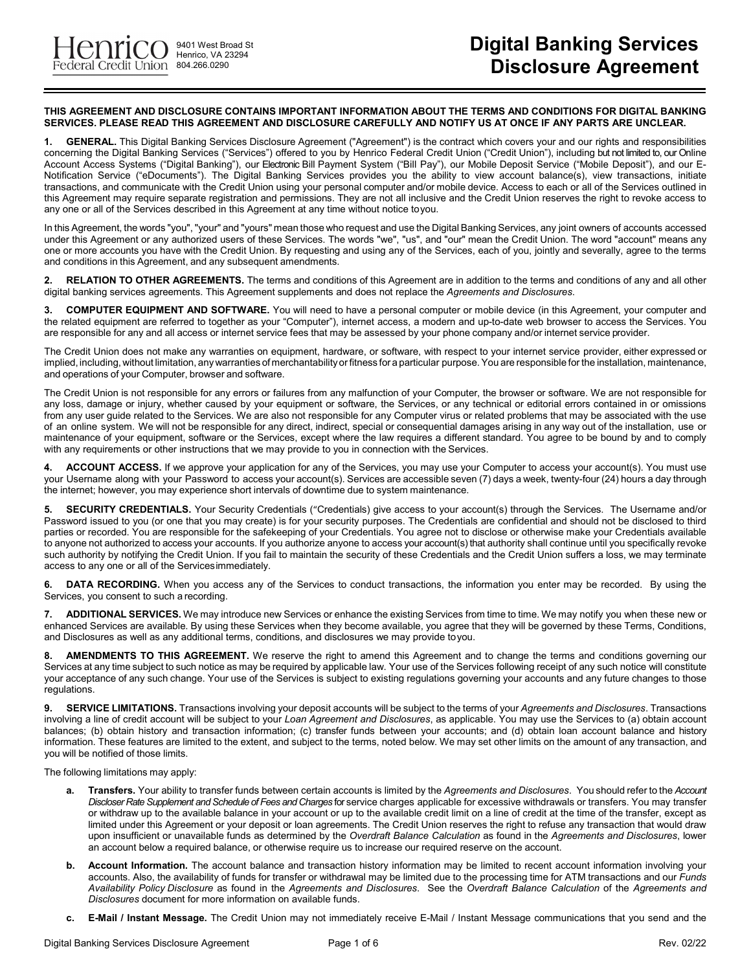9401 West Broad St Henrico, VA 23294

## **THIS AGREEMENT AND DISCLOSURE CONTAINS IMPORTANT INFORMATION ABOUT THE TERMS AND CONDITIONS FOR DIGITAL BANKING SERVICES. PLEASE READ THIS AGREEMENT AND DISCLOSURE CAREFULLY AND NOTIFY US AT ONCE IF ANY PARTS ARE UNCLEAR.**

**1. GENERAL.** This Digital Banking Services Disclosure Agreement ("Agreement") is the contract which covers your and our rights and responsibilities concerning the Digital Banking Services ("Services") offered to you by Henrico Federal Credit Union ("Credit Union"), including but not limited to, our Online Account Access Systems ("Digital Banking"), our Electronic Bill Payment System ("Bill Pay"), our Mobile Deposit Service ("Mobile Deposit"), and our E-Notification Service ("eDocuments"). The Digital Banking Services provides you the ability to view account balance(s), view transactions, initiate transactions, and communicate with the Credit Union using your personal computer and/or mobile device. Access to each or all of the Services outlined in this Agreement may require separate registration and permissions. They are not all inclusive and the Credit Union reserves the right to revoke access to any one or all of the Services described in this Agreement at any time without notice toyou.

In this Agreement, the words "you", "your" and "yours" mean those who request and use the Digital Banking Services, any joint owners of accounts accessed under this Agreement or any authorized users of these Services. The words "we", "us", and "our" mean the Credit Union. The word "account" means any one or more accounts you have with the Credit Union. By requesting and using any of the Services, each of you, jointly and severally, agree to the terms and conditions in this Agreement, and any subsequent amendments.

**2. RELATION TO OTHER AGREEMENTS.** The terms and conditions of this Agreement are in addition to the terms and conditions of any and all other digital banking services agreements. This Agreement supplements and does not replace the *Agreements and Disclosures*.

**3. COMPUTER EQUIPMENT AND SOFTWARE.** You will need to have a personal computer or mobile device (in this Agreement, your computer and the related equipment are referred to together as your "Computer"), internet access, a modern and up-to-date web browser to access the Services. You are responsible for any and all access or internet service fees that may be assessed by your phone company and/or internet service provider.

The Credit Union does not make any warranties on equipment, hardware, or software, with respect to your internet service provider, either expressed or implied, including, without limitation, any warranties of merchantability or fitness for a particular purpose. You are responsible for the installation, maintenance, and operations of your Computer, browser and software.

The Credit Union is not responsible for any errors or failures from any malfunction of your Computer, the browser or software. We are not responsible for any loss, damage or injury, whether caused by your equipment or software, the Services, or any technical or editorial errors contained in or omissions from any user guide related to the Services. We are also not responsible for any Computer virus or related problems that may be associated with the use of an online system. We will not be responsible for any direct, indirect, special or consequential damages arising in any way out of the installation, use or maintenance of your equipment, software or the Services, except where the law requires a different standard. You agree to be bound by and to comply with any requirements or other instructions that we may provide to you in connection with the Services.

**4. ACCOUNT ACCESS.** If we approve your application for any of the Services, you may use your Computer to access your account(s). You must use your Username along with your Password to access your account(s). Services are accessible seven (7) days a week, twenty-four (24) hours a day through the internet; however, you may experience short intervals of downtime due to system maintenance.

**5. SECURITY CREDENTIALS.** Your Security Credentials ("Credentials) give access to your account(s) through the Services. The Username and/or Password issued to you (or one that you may create) is for your security purposes. The Credentials are confidential and should not be disclosed to third parties or recorded. You are responsible for the safekeeping of your Credentials. You agree not to disclose or otherwise make your Credentials available to anyone not authorized to access your accounts. If you authorize anyone to access your account(s) that authority shall continue until you specifically revoke such authority by notifying the Credit Union. If you fail to maintain the security of these Credentials and the Credit Union suffers a loss, we may terminate access to any one or all of the Servicesimmediately.

**6. DATA RECORDING.** When you access any of the Services to conduct transactions, the information you enter may be recorded. By using the Services, you consent to such a recording.

**7. ADDITIONAL SERVICES.** We may introduce new Services or enhance the existing Services from time to time. We may notify you when these new or enhanced Services are available. By using these Services when they become available, you agree that they will be governed by these Terms, Conditions, and Disclosures as well as any additional terms, conditions, and disclosures we may provide toyou.

**8. AMENDMENTS TO THIS AGREEMENT.** We reserve the right to amend this Agreement and to change the terms and conditions governing our Services at any time subject to such notice as may be required by applicable law. Your use of the Services following receipt of any such notice will constitute your acceptance of any such change. Your use of the Services is subject to existing regulations governing your accounts and any future changes to those regulations.

**9. SERVICE LIMITATIONS.** Transactions involving your deposit accounts will be subject to the terms of your *Agreements and Disclosures*. Transactions involving a line of credit account will be subject to your *Loan Agreement and Disclosures*, as applicable. You may use the Services to (a) obtain account balances; (b) obtain history and transaction information; (c) transfer funds between your accounts; and (d) obtain loan account balance and history information. These features are limited to the extent, and subject to the terms, noted below. We may set other limits on the amount of any transaction, and you will be notified of those limits.

The following limitations may apply:

- **a. Transfers.** Your ability to transfer funds between certain accounts is limited by the *Agreements and Disclosures*. You should refer to the *Account Discloser Rate Supplement and Schedule of Fees and Charges* for service charges applicable for excessive withdrawals or transfers. You may transfer or withdraw up to the available balance in your account or up to the available credit limit on a line of credit at the time of the transfer, except as limited under this Agreement or your deposit or loan agreements. The Credit Union reserves the right to refuse any transaction that would draw upon insufficient or unavailable funds as determined by the *Overdraft Balance Calculation* as found in the *Agreements and Disclosures*, lower an account below a required balance, or otherwise require us to increase our required reserve on the account.
- **b. Account Information.** The account balance and transaction history information may be limited to recent account information involving your accounts. Also, the availability of funds for transfer or withdrawal may be limited due to the processing time for ATM transactions and our *Funds Availability Policy Disclosure* as found in the *Agreements and Disclosures*. See the *Overdraft Balance Calculation* of the *Agreements and Disclosures* document for more information on available funds.
- **c. E-Mail / Instant Message.** The Credit Union may not immediately receive E-Mail / Instant Message communications that you send and the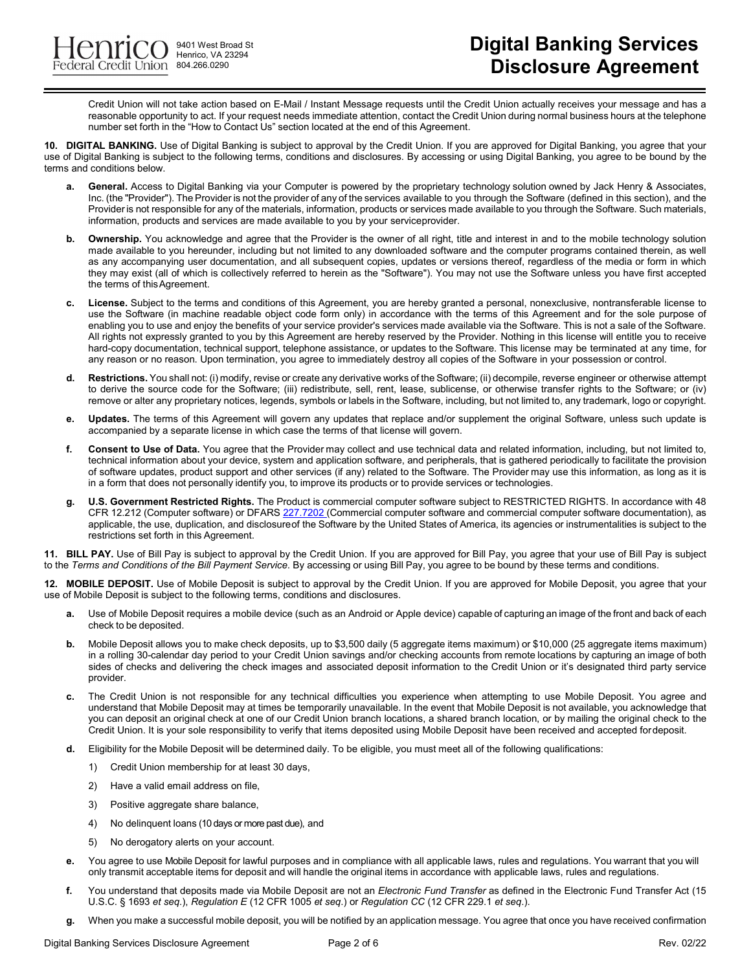9401 West Broad St Henrico, VA 23294

Credit Union will not take action based on E-Mail / Instant Message requests until the Credit Union actually receives your message and has a reasonable opportunity to act. If your request needs immediate attention, contact the Credit Union during normal business hours at the telephone number set forth in the "How to Contact Us" section located at the end of this Agreement.

**10. DIGITAL BANKING.** Use of Digital Banking is subject to approval by the Credit Union. If you are approved for Digital Banking, you agree that your use of Digital Banking is subject to the following terms, conditions and disclosures. By accessing or using Digital Banking, you agree to be bound by the terms and conditions below.

- General. Access to Digital Banking via your Computer is powered by the proprietary technology solution owned by Jack Henry & Associates, Inc. (the "Provider"). The Provider is not the provider of any of the services available to you through the Software (defined in this section), and the Provideris not responsible for any of the materials, information, products or services made available to you through the Software. Such materials, information, products and services are made available to you by your serviceprovider.
- **b.** Ownership. You acknowledge and agree that the Provider is the owner of all right, title and interest in and to the mobile technology solution made available to you hereunder, including but not limited to any downloaded software and the computer programs contained therein, as well as any accompanying user documentation, and all subsequent copies, updates or versions thereof, regardless of the media or form in which they may exist (all of which is collectively referred to herein as the "Software"). You may not use the Software unless you have first accepted the terms of thisAgreement.
- **c. License.** Subject to the terms and conditions of this Agreement, you are hereby granted a personal, nonexclusive, nontransferable license to use the Software (in machine readable object code form only) in accordance with the terms of this Agreement and for the sole purpose of enabling you to use and enjoy the benefits of your service provider's services made available via the Software. This is not a sale of the Software. All rights not expressly granted to you by this Agreement are hereby reserved by the Provider. Nothing in this license will entitle you to receive hard-copy documentation, technical support, telephone assistance, or updates to the Software. This license may be terminated at any time, for any reason or no reason. Upon termination, you agree to immediately destroy all copies of the Software in your possession or control.
- **d. Restrictions.** You shall not: (i) modify, revise or create any derivative works of the Software; (ii) decompile, reverse engineer or otherwise attempt to derive the source code for the Software; (iii) redistribute, sell, rent, lease, sublicense, or otherwise transfer rights to the Software; or (iv) remove or alter any proprietary notices, legends, symbols or labels in the Software, including, but not limited to, any trademark, logo or copyright.
- **e. Updates.** The terms of this Agreement will govern any updates that replace and/or supplement the original Software, unless such update is accompanied by a separate license in which case the terms of that license will govern.
- **f. Consent to Use of Data.** You agree that the Provider may collect and use technical data and related information, including, but not limited to, technical information about your device, system and application software, and peripherals, that is gathered periodically to facilitate the provision of software updates, product support and other services (if any) related to the Software. The Provider may use this information, as long as it is in a form that does not personally identify you, to improve its products or to provide services or technologies.
- **g. U.S. Government Restricted Rights.** The Product is commercial computer software subject to RESTRICTED RIGHTS. In accordance with 48 CFR 12.212 (Computer software) or DFARS 227.7202 (Commercial computer software and commercial computer software documentation), as applicable, the use, duplication, and disclosureof the Software by the United States of America, its agencies or instrumentalities is subject to the restrictions set forth in this Agreement.

**11. BILL PAY.** Use of Bill Pay is subject to approval by the Credit Union. If you are approved for Bill Pay, you agree that your use of Bill Pay is subject to the *Terms and Conditions of the Bill Payment Service*. By accessing or using Bill Pay, you agree to be bound by these terms and conditions.

**12. MOBILE DEPOSIT.** Use of Mobile Deposit is subject to approval by the Credit Union. If you are approved for Mobile Deposit, you agree that your use of Mobile Deposit is subject to the following terms, conditions and disclosures.

- **a.** Use of Mobile Deposit requires a mobile device (such as an Android or Apple device) capable of capturing an image of the front and back of each check to be deposited.
- **b.** Mobile Deposit allows you to make check deposits, up to \$3,500 daily (5 aggregate items maximum) or \$10,000 (25 aggregate items maximum) in a rolling 30-calendar day period to your Credit Union savings and/or checking accounts from remote locations by capturing an image of both sides of checks and delivering the check images and associated deposit information to the Credit Union or it's designated third party service provider.
- **c.** The Credit Union is not responsible for any technical difficulties you experience when attempting to use Mobile Deposit. You agree and understand that Mobile Deposit may at times be temporarily unavailable. In the event that Mobile Deposit is not available, you acknowledge that you can deposit an original check at one of our Credit Union branch locations, a shared branch location, or by mailing the original check to the Credit Union. It is your sole responsibility to verify that items deposited using Mobile Deposit have been received and accepted fordeposit.
- **d.** Eligibility for the Mobile Deposit will be determined daily. To be eligible, you must meet all of the following qualifications:
	- 1) Credit Union membership for at least 30 days,
	- 2) Have a valid email address on file,
	- 3) Positive aggregate share balance,
	- 4) No delinquent loans (10 days or more past due), and
	- 5) No derogatory alerts on your account.
- **e.** You agree to use Mobile Deposit for lawful purposes and in compliance with all applicable laws, rules and regulations. You warrant that you will only transmit acceptable items for deposit and will handle the original items in accordance with applicable laws, rules and regulations.
- **f.** You understand that deposits made via Mobile Deposit are not an *Electronic Fund Transfer* as defined in the Electronic Fund Transfer Act (15 U.S.C. § 1693 *et seq*.), *Regulation E* (12 CFR 1005 *et seq*.) or *Regulation CC* (12 CFR 229.1 *et seq*.).
- **g.** When you make a successful mobile deposit, you will be notified by an application message. You agree that once you have received confirmation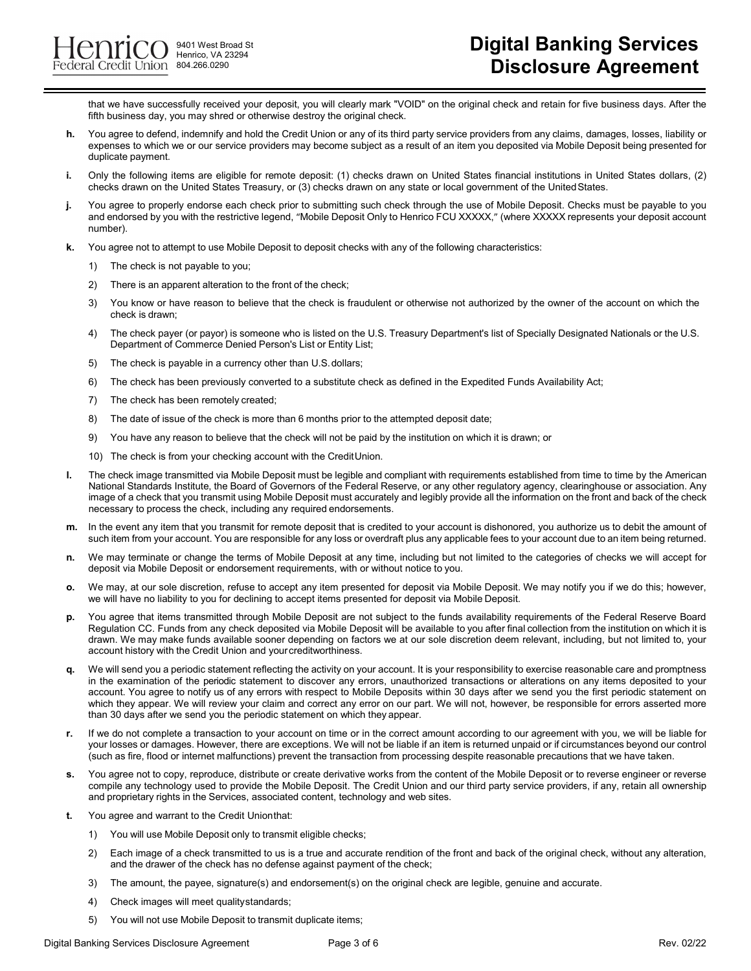9401 West Broad St Henrico, VA 23294 804.266.0290

that we have successfully received your deposit, you will clearly mark "VOID" on the original check and retain for five business days. After the fifth business day, you may shred or otherwise destroy the original check.

- **h.** You agree to defend, indemnify and hold the Credit Union or any of its third party service providers from any claims, damages, losses, liability or expenses to which we or our service providers may become subject as a result of an item you deposited via Mobile Deposit being presented for duplicate payment.
- **i.** Only the following items are eligible for remote deposit: (1) checks drawn on United States financial institutions in United States dollars, (2) checks drawn on the United States Treasury, or (3) checks drawn on any state or local government of the UnitedStates.
- **j.** You agree to properly endorse each check prior to submitting such check through the use of Mobile Deposit. Checks must be payable to you and endorsed by you with the restrictive legend, "Mobile Deposit Only to Henrico FCU XXXXX," (where XXXXX represents your deposit account number).
- **k.** You agree not to attempt to use Mobile Deposit to deposit checks with any of the following characteristics:
	- 1) The check is not payable to you;
	- 2) There is an apparent alteration to the front of the check;
	- 3) You know or have reason to believe that the check is fraudulent or otherwise not authorized by the owner of the account on which the check is drawn;
	- 4) The check payer (or payor) is someone who is listed on the U.S. Treasury Department's list of Specially Designated Nationals or the U.S. Department of Commerce Denied Person's List or Entity List;
	- 5) The check is payable in a currency other than U.S.dollars;
	- 6) The check has been previously converted to a substitute check as defined in the Expedited Funds Availability Act;
	- 7) The check has been remotely created;
	- 8) The date of issue of the check is more than 6 months prior to the attempted deposit date;
	- 9) You have any reason to believe that the check will not be paid by the institution on which it is drawn; or
	- 10) The check is from your checking account with the CreditUnion.
- **l.** The check image transmitted via Mobile Deposit must be legible and compliant with requirements established from time to time by the American National Standards Institute, the Board of Governors of the Federal Reserve, or any other regulatory agency, clearinghouse or association. Any image of a check that you transmit using Mobile Deposit must accurately and legibly provide all the information on the front and back of the check necessary to process the check, including any required endorsements.
- **m.** In the event any item that you transmit for remote deposit that is credited to your account is dishonored, you authorize us to debit the amount of such item from your account. You are responsible for any loss or overdraft plus any applicable fees to your account due to an item being returned.
- **n.** We may terminate or change the terms of Mobile Deposit at any time, including but not limited to the categories of checks we will accept for deposit via Mobile Deposit or endorsement requirements, with or without notice to you.
- **o.** We may, at our sole discretion, refuse to accept any item presented for deposit via Mobile Deposit. We may notify you if we do this; however, we will have no liability to you for declining to accept items presented for deposit via Mobile Deposit.
- **p.** You agree that items transmitted through Mobile Deposit are not subject to the funds availability requirements of the Federal Reserve Board Regulation CC. Funds from any check deposited via Mobile Deposit will be available to you after final collection from the institution on which it is drawn. We may make funds available sooner depending on factors we at our sole discretion deem relevant, including, but not limited to, your account history with the Credit Union and yourcreditworthiness.
- **q.** We will send you a periodic statement reflecting the activity on your account. It is your responsibility to exercise reasonable care and promptness in the examination of the periodic statement to discover any errors, unauthorized transactions or alterations on any items deposited to your account. You agree to notify us of any errors with respect to Mobile Deposits within 30 days after we send you the first periodic statement on which they appear. We will review your claim and correct any error on our part. We will not, however, be responsible for errors asserted more than 30 days after we send you the periodic statement on which they appear.
- **r.** If we do not complete a transaction to your account on time or in the correct amount according to our agreement with you, we will be liable for your losses or damages. However, there are exceptions. We will not be liable if an item is returned unpaid or if circumstances beyond our control (such as fire, flood or internet malfunctions) prevent the transaction from processing despite reasonable precautions that we have taken.
- **s.** You agree not to copy, reproduce, distribute or create derivative works from the content of the Mobile Deposit or to reverse engineer or reverse compile any technology used to provide the Mobile Deposit. The Credit Union and our third party service providers, if any, retain all ownership and proprietary rights in the Services, associated content, technology and web sites.
- **t.** You agree and warrant to the Credit Unionthat:
	- 1) You will use Mobile Deposit only to transmit eligible checks;
	- 2) Each image of a check transmitted to us is a true and accurate rendition of the front and back of the original check, without any alteration, and the drawer of the check has no defense against payment of the check;
	- 3) The amount, the payee, signature(s) and endorsement(s) on the original check are legible, genuine and accurate.
	- 4) Check images will meet qualitystandards;
	- 5) You will not use Mobile Deposit to transmit duplicate items;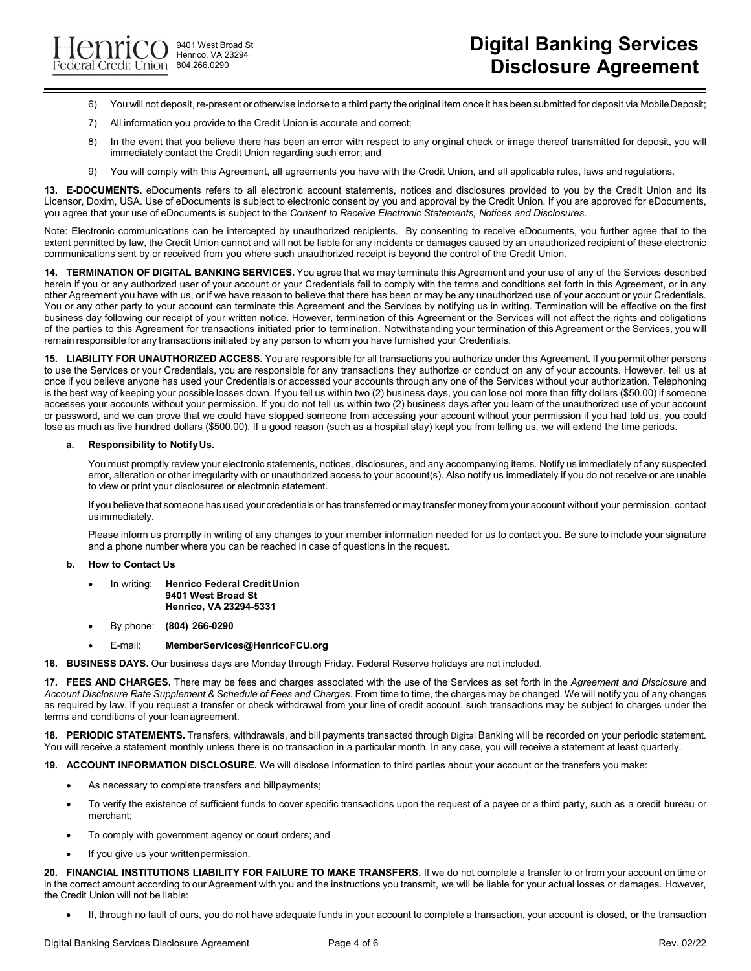9401 West Broad St Henrico, VA 23294 804.266.0290

- 6) You will not deposit, re-present or otherwise indorse to a third party the original item once it has been submitted for deposit via MobileDeposit;
- 7) All information you provide to the Credit Union is accurate and correct;
- 8) In the event that you believe there has been an error with respect to any original check or image thereof transmitted for deposit, you will immediately contact the Credit Union regarding such error; and
- 9) You will comply with this Agreement, all agreements you have with the Credit Union, and all applicable rules, laws and regulations.

**13. E-DOCUMENTS.** eDocuments refers to all electronic account statements, notices and disclosures provided to you by the Credit Union and its Licensor, Doxim, USA. Use of eDocuments is subject to electronic consent by you and approval by the Credit Union. If you are approved for eDocuments, you agree that your use of eDocuments is subject to the *Consent to Receive Electronic Statements, Notices and Disclosures*.

Note: Electronic communications can be intercepted by unauthorized recipients. By consenting to receive eDocuments, you further agree that to the extent permitted by law, the Credit Union cannot and will not be liable for any incidents or damages caused by an unauthorized recipient of these electronic communications sent by or received from you where such unauthorized receipt is beyond the control of the Credit Union.

**14. TERMINATION OF DIGITAL BANKING SERVICES.** You agree that we may terminate this Agreement and your use of any of the Services described herein if you or any authorized user of your account or your Credentials fail to comply with the terms and conditions set forth in this Agreement, or in any other Agreement you have with us, or if we have reason to believe that there has been or may be any unauthorized use of your account or your Credentials. You or any other party to your account can terminate this Agreement and the Services by notifying us in writing. Termination will be effective on the first business day following our receipt of your written notice. However, termination of this Agreement or the Services will not affect the rights and obligations of the parties to this Agreement for transactions initiated prior to termination. Notwithstanding your termination of this Agreement or the Services, you will remain responsible for any transactions initiated by any person to whom you have furnished your Credentials.

**15. LIABILITY FOR UNAUTHORIZED ACCESS.** You are responsible for all transactions you authorize under this Agreement. If you permit other persons to use the Services or your Credentials, you are responsible for any transactions they authorize or conduct on any of your accounts. However, tell us at once if you believe anyone has used your Credentials or accessed your accounts through any one of the Services without your authorization. Telephoning is the best way of keeping your possible losses down. If you tell us within two (2) business days, you can lose not more than fifty dollars (\$50.00) if someone accesses your accounts without your permission. If you do not tell us within two (2) business days after you learn of the unauthorized use of your account or password, and we can prove that we could have stopped someone from accessing your account without your permission if you had told us, you could lose as much as five hundred dollars (\$500.00). If a good reason (such as a hospital stay) kept you from telling us, we will extend the time periods.

## **a. Responsibility to NotifyUs.**

You must promptly review your electronic statements, notices, disclosures, and any accompanying items. Notify us immediately of any suspected error, alteration or other irregularity with or unauthorized access to your account(s). Also notify us immediately if you do not receive or are unable to view or print your disclosures or electronic statement.

If you believe that someone has used your credentials or has transferred or may transfer money from your account without your permission, contact usimmediately.

Please inform us promptly in writing of any changes to your member information needed for us to contact you. Be sure to include your signature and a phone number where you can be reached in case of questions in the request.

## **b. How to Contact Us**

- In writing: **Henrico Federal CreditUnion 9401 West Broad St Henrico, VA 23294-5331**
- By phone: **(804) 266-0290**
- E-mail: **[MemberServices@HenricoFCU.org](mailto:MemberServices@HenricoFCU.org)**
- **16. BUSINESS DAYS.** Our business days are Monday through Friday. Federal Reserve holidays are not included.

**17. FEES AND CHARGES.** There may be fees and charges associated with the use of the Services as set forth in the *Agreement and Disclosure* and *Account Disclosure Rate Supplement & Schedule of Fees and Charges*. From time to time, the charges may be changed. We will notify you of any changes as required by law. If you request a transfer or check withdrawal from your line of credit account, such transactions may be subject to charges under the terms and conditions of your loanagreement.

**18. PERIODIC STATEMENTS.** Transfers, withdrawals, and bill payments transacted through Digital Banking will be recorded on your periodic statement. You will receive a statement monthly unless there is no transaction in a particular month. In any case, you will receive a statement at least quarterly.

**19. ACCOUNT INFORMATION DISCLOSURE.** We will disclose information to third parties about your account or the transfers you make:

- As necessary to complete transfers and billpayments;
- To verify the existence of sufficient funds to cover specific transactions upon the request of a payee or a third party, such as a credit bureau or merchant;
- To comply with government agency or court orders; and
- If you give us your writtenpermission.

**20. FINANCIAL INSTITUTIONS LIABILITY FOR FAILURE TO MAKE TRANSFERS.** If we do not complete a transfer to or from your account on time or in the correct amount according to our Agreement with you and the instructions you transmit, we will be liable for your actual losses or damages. However, the Credit Union will not be liable:

• If, through no fault of ours, you do not have adequate funds in your account to complete a transaction, your account is closed, or the transaction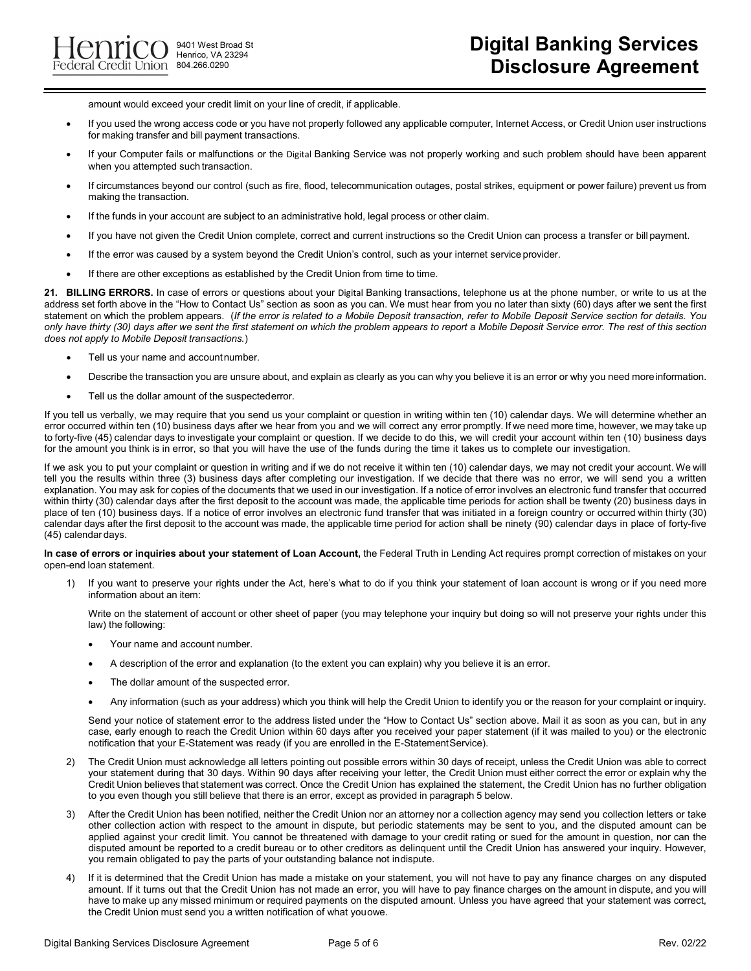**9401** West Broad St Henrico, VA 23294

amount would exceed your credit limit on your line of credit, if applicable.

- If you used the wrong access code or you have not properly followed any applicable computer, Internet Access, or Credit Union user instructions for making transfer and bill payment transactions.
- If your Computer fails or malfunctions or the Digital Banking Service was not properly working and such problem should have been apparent when you attempted such transaction.
- If circumstances beyond our control (such as fire, flood, telecommunication outages, postal strikes, equipment or power failure) prevent us from making the transaction.
- If the funds in your account are subject to an administrative hold, legal process or other claim.
- If you have not given the Credit Union complete, correct and current instructions so the Credit Union can process a transfer or bill payment.
- If the error was caused by a system beyond the Credit Union's control, such as your internet service provider.
- If there are other exceptions as established by the Credit Union from time to time.

**21. BILLING ERRORS.** In case of errors or questions about your Digital Banking transactions, telephone us at the phone number, or write to us at the address set forth above in the "How to Contact Us" section as soon as you can. We must hear from you no later than sixty (60) days after we sent the first statement on which the problem appears. (*If the error is related to a Mobile Deposit transaction, refer to Mobile Deposit Service section for details. You only have thirty (30) days after we sent the first statement on which the problem appears to report a Mobile Deposit Service error. The rest of this section does not apply to Mobile Deposit transactions.*)

- Tell us your name and accountnumber.
- Describe the transaction you are unsure about, and explain as clearly as you can why you believe it is an error or why you need moreinformation.
- Tell us the dollar amount of the suspectederror.

If you tell us verbally, we may require that you send us your complaint or question in writing within ten (10) calendar days. We will determine whether an error occurred within ten (10) business days after we hear from you and we will correct any error promptly. If we need more time, however, we may take up to forty-five (45) calendar days to investigate your complaint or question. If we decide to do this, we will credit your account within ten (10) business days for the amount you think is in error, so that you will have the use of the funds during the time it takes us to complete our investigation.

If we ask you to put your complaint or question in writing and if we do not receive it within ten (10) calendar days, we may not credit your account. We will tell you the results within three (3) business days after completing our investigation. If we decide that there was no error, we will send you a written explanation. You may ask for copies of the documents that we used in our investigation. If a notice of error involves an electronic fund transfer that occurred within thirty (30) calendar days after the first deposit to the account was made, the applicable time periods for action shall be twenty (20) business days in place of ten (10) business days. If a notice of error involves an electronic fund transfer that was initiated in a foreign country or occurred within thirty (30) calendar days after the first deposit to the account was made, the applicable time period for action shall be ninety (90) calendar days in place of forty-five (45) calendar days.

In case of errors or inquiries about your statement of Loan Account, the Federal Truth in Lending Act requires prompt correction of mistakes on your open-end loan statement.

1) If you want to preserve your rights under the Act, here's what to do if you think your statement of loan account is wrong or if you need more information about an item:

Write on the statement of account or other sheet of paper (you may telephone your inquiry but doing so will not preserve your rights under this law) the following:

- Your name and account number.
- A description of the error and explanation (to the extent you can explain) why you believe it is an error.
- The dollar amount of the suspected error.
- Any information (such as your address) which you think will help the Credit Union to identify you or the reason for your complaint or inquiry.

Send your notice of statement error to the address listed under the "How to Contact Us" section above. Mail it as soon as you can, but in any case, early enough to reach the Credit Union within 60 days after you received your paper statement (if it was mailed to you) or the electronic notification that your E-Statement was ready (if you are enrolled in the E-StatementService).

- 2) The Credit Union must acknowledge all letters pointing out possible errors within 30 days of receipt, unless the Credit Union was able to correct your statement during that 30 days. Within 90 days after receiving your letter, the Credit Union must either correct the error or explain why the Credit Union believes that statement was correct. Once the Credit Union has explained the statement, the Credit Union has no further obligation to you even though you still believe that there is an error, except as provided in paragraph 5 below.
- 3) After the Credit Union has been notified, neither the Credit Union nor an attorney nor a collection agency may send you collection letters or take other collection action with respect to the amount in dispute, but periodic statements may be sent to you, and the disputed amount can be applied against your credit limit. You cannot be threatened with damage to your credit rating or sued for the amount in question, nor can the disputed amount be reported to a credit bureau or to other creditors as delinquent until the Credit Union has answered your inquiry. However, you remain obligated to pay the parts of your outstanding balance not indispute.
- 4) If it is determined that the Credit Union has made a mistake on your statement, you will not have to pay any finance charges on any disputed amount. If it turns out that the Credit Union has not made an error, you will have to pay finance charges on the amount in dispute, and you will have to make up any missed minimum or required payments on the disputed amount. Unless you have agreed that your statement was correct, the Credit Union must send you a written notification of what youowe.